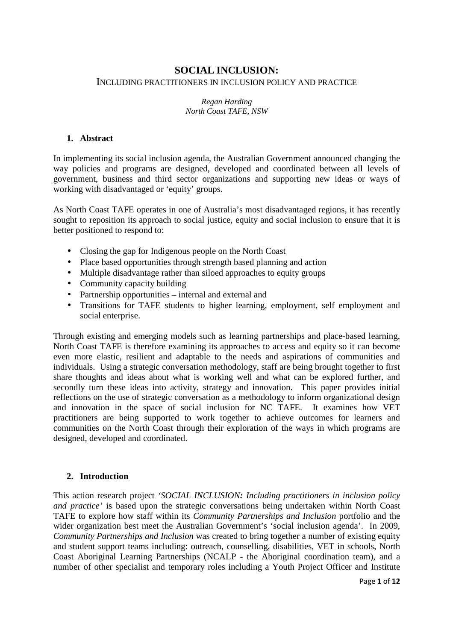# **SOCIAL INCLUSION:** INCLUDING PRACTITIONERS IN INCLUSION POLICY AND PRACTICE

#### *Regan Harding North Coast TAFE, NSW*

### **1. Abstract**

In implementing its social inclusion agenda, the Australian Government announced changing the way policies and programs are designed, developed and coordinated between all levels of government, business and third sector organizations and supporting new ideas or ways of working with disadvantaged or 'equity' groups.

As North Coast TAFE operates in one of Australia's most disadvantaged regions, it has recently sought to reposition its approach to social justice, equity and social inclusion to ensure that it is better positioned to respond to:

- Closing the gap for Indigenous people on the North Coast
- Place based opportunities through strength based planning and action
- Multiple disadvantage rather than siloed approaches to equity groups
- Community capacity building
- Partnership opportunities internal and external and
- Transitions for TAFE students to higher learning, employment, self employment and social enterprise.

Through existing and emerging models such as learning partnerships and place-based learning, North Coast TAFE is therefore examining its approaches to access and equity so it can become even more elastic, resilient and adaptable to the needs and aspirations of communities and individuals. Using a strategic conversation methodology, staff are being brought together to first share thoughts and ideas about what is working well and what can be explored further, and secondly turn these ideas into activity, strategy and innovation. This paper provides initial reflections on the use of strategic conversation as a methodology to inform organizational design and innovation in the space of social inclusion for NC TAFE. It examines how VET practitioners are being supported to work together to achieve outcomes for learners and communities on the North Coast through their exploration of the ways in which programs are designed, developed and coordinated.

### **2. Introduction**

This action research project *'SOCIAL INCLUSION: Including practitioners in inclusion policy and practice'* is based upon the strategic conversations being undertaken within North Coast TAFE to explore how staff within its *Community Partnerships and Inclusion* portfolio and the wider organization best meet the Australian Government's 'social inclusion agenda'. In 2009, *Community Partnerships and Inclusion* was created to bring together a number of existing equity and student support teams including: outreach, counselling, disabilities, VET in schools, North Coast Aboriginal Learning Partnerships (NCALP - the Aboriginal coordination team), and a number of other specialist and temporary roles including a Youth Project Officer and Institute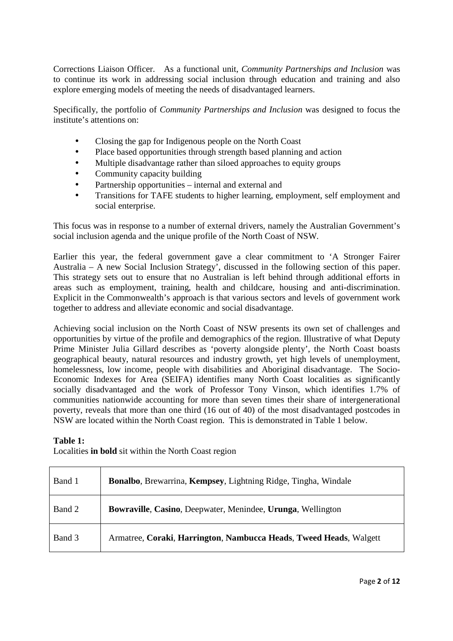Corrections Liaison Officer. As a functional unit, *Community Partnerships and Inclusion* was to continue its work in addressing social inclusion through education and training and also explore emerging models of meeting the needs of disadvantaged learners.

Specifically, the portfolio of *Community Partnerships and Inclusion* was designed to focus the institute's attentions on:

- Closing the gap for Indigenous people on the North Coast
- Place based opportunities through strength based planning and action
- Multiple disadvantage rather than siloed approaches to equity groups
- Community capacity building
- Partnership opportunities internal and external and
- Transitions for TAFE students to higher learning, employment, self employment and social enterprise.

This focus was in response to a number of external drivers, namely the Australian Government's social inclusion agenda and the unique profile of the North Coast of NSW.

Earlier this year, the federal government gave a clear commitment to 'A Stronger Fairer Australia – A new Social Inclusion Strategy', discussed in the following section of this paper. This strategy sets out to ensure that no Australian is left behind through additional efforts in areas such as employment, training, health and childcare, housing and anti-discrimination. Explicit in the Commonwealth's approach is that various sectors and levels of government work together to address and alleviate economic and social disadvantage.

Achieving social inclusion on the North Coast of NSW presents its own set of challenges and opportunities by virtue of the profile and demographics of the region. Illustrative of what Deputy Prime Minister Julia Gillard describes as 'poverty alongside plenty', the North Coast boasts geographical beauty, natural resources and industry growth, yet high levels of unemployment, homelessness, low income, people with disabilities and Aboriginal disadvantage. The Socio-Economic Indexes for Area (SEIFA) identifies many North Coast localities as significantly socially disadvantaged and the work of Professor Tony Vinson, which identifies 1.7% of communities nationwide accounting for more than seven times their share of intergenerational poverty, reveals that more than one third (16 out of 40) of the most disadvantaged postcodes in NSW are located within the North Coast region. This is demonstrated in Table 1 below.

### **Table 1:**

Localities **in bold** sit within the North Coast region

| Band 1 | <b>Bonalbo</b> , Brewarrina, Kempsey, Lightning Ridge, Tingha, Windale |
|--------|------------------------------------------------------------------------|
| Band 2 | <b>Bowraville, Casino, Deepwater, Menindee, Urunga, Wellington</b>     |
| Band 3 | Armatree, Coraki, Harrington, Nambucca Heads, Tweed Heads, Walgett     |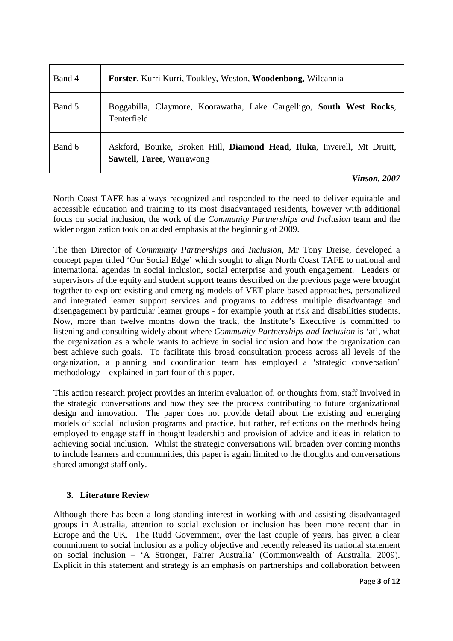| Band 4 | Forster, Kurri Kurri, Toukley, Weston, Woodenbong, Wilcannia                                                |
|--------|-------------------------------------------------------------------------------------------------------------|
| Band 5 | Boggabilla, Claymore, Koorawatha, Lake Cargelligo, South West Rocks,<br>Tenterfield                         |
| Band 6 | Askford, Bourke, Broken Hill, Diamond Head, Iluka, Inverell, Mt Druitt,<br><b>Sawtell, Taree, Warrawong</b> |

*Vinson, 2007* 

North Coast TAFE has always recognized and responded to the need to deliver equitable and accessible education and training to its most disadvantaged residents, however with additional focus on social inclusion, the work of the *Community Partnerships and Inclusion* team and the wider organization took on added emphasis at the beginning of 2009.

The then Director of *Community Partnerships and Inclusion*, Mr Tony Dreise, developed a concept paper titled 'Our Social Edge' which sought to align North Coast TAFE to national and international agendas in social inclusion, social enterprise and youth engagement. Leaders or supervisors of the equity and student support teams described on the previous page were brought together to explore existing and emerging models of VET place-based approaches, personalized and integrated learner support services and programs to address multiple disadvantage and disengagement by particular learner groups - for example youth at risk and disabilities students. Now, more than twelve months down the track, the Institute's Executive is committed to listening and consulting widely about where *Community Partnerships and Inclusion* is 'at', what the organization as a whole wants to achieve in social inclusion and how the organization can best achieve such goals. To facilitate this broad consultation process across all levels of the organization, a planning and coordination team has employed a 'strategic conversation' methodology – explained in part four of this paper.

This action research project provides an interim evaluation of, or thoughts from, staff involved in the strategic conversations and how they see the process contributing to future organizational design and innovation. The paper does not provide detail about the existing and emerging models of social inclusion programs and practice, but rather, reflections on the methods being employed to engage staff in thought leadership and provision of advice and ideas in relation to achieving social inclusion. Whilst the strategic conversations will broaden over coming months to include learners and communities, this paper is again limited to the thoughts and conversations shared amongst staff only.

# **3. Literature Review**

Although there has been a long-standing interest in working with and assisting disadvantaged groups in Australia, attention to social exclusion or inclusion has been more recent than in Europe and the UK. The Rudd Government, over the last couple of years, has given a clear commitment to social inclusion as a policy objective and recently released its national statement on social inclusion – 'A Stronger, Fairer Australia' (Commonwealth of Australia, 2009). Explicit in this statement and strategy is an emphasis on partnerships and collaboration between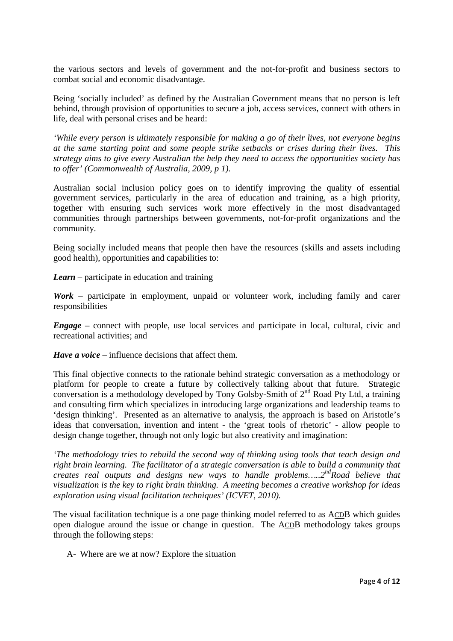the various sectors and levels of government and the not-for-profit and business sectors to combat social and economic disadvantage.

Being 'socially included' as defined by the Australian Government means that no person is left behind, through provision of opportunities to secure a job, access services, connect with others in life, deal with personal crises and be heard:

*'While every person is ultimately responsible for making a go of their lives, not everyone begins at the same starting point and some people strike setbacks or crises during their lives. This strategy aims to give every Australian the help they need to access the opportunities society has to offer' (Commonwealth of Australia, 2009, p 1).* 

Australian social inclusion policy goes on to identify improving the quality of essential government services, particularly in the area of education and training, as a high priority, together with ensuring such services work more effectively in the most disadvantaged communities through partnerships between governments, not-for-profit organizations and the community.

Being socially included means that people then have the resources (skills and assets including good health), opportunities and capabilities to:

*Learn* – participate in education and training

*Work* – participate in employment, unpaid or volunteer work, including family and carer responsibilities

*Engage* – connect with people, use local services and participate in local, cultural, civic and recreational activities; and

*Have a voice* – influence decisions that affect them.

This final objective connects to the rationale behind strategic conversation as a methodology or platform for people to create a future by collectively talking about that future. Strategic conversation is a methodology developed by Tony Golsby-Smith of  $2<sup>nd</sup>$  Road Pty Ltd, a training and consulting firm which specializes in introducing large organizations and leadership teams to 'design thinking'. Presented as an alternative to analysis, the approach is based on Aristotle's ideas that conversation, invention and intent - the 'great tools of rhetoric' - allow people to design change together, through not only logic but also creativity and imagination:

*'The methodology tries to rebuild the second way of thinking using tools that teach design and right brain learning. The facilitator of a strategic conversation is able to build a community that creates real outputs and designs new ways to handle problems…..2ndRoad believe that visualization is the key to right brain thinking. A meeting becomes a creative workshop for ideas exploration using visual facilitation techniques' (ICVET, 2010).* 

The visual facilitation technique is a one page thinking model referred to as ACDB which guides open dialogue around the issue or change in question. The ACDB methodology takes groups through the following steps:

A- Where are we at now? Explore the situation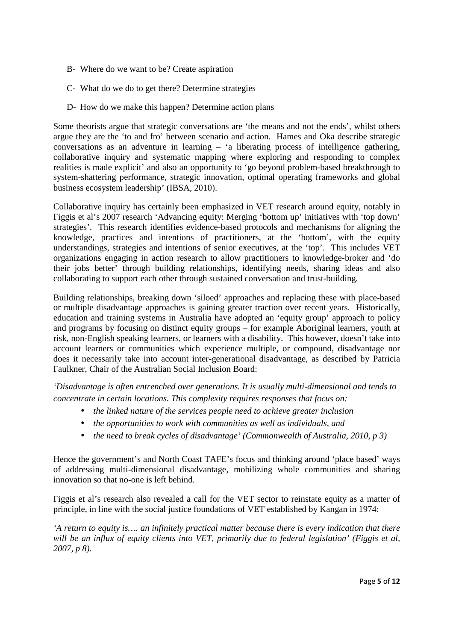- B- Where do we want to be? Create aspiration
- C- What do we do to get there? Determine strategies
- D- How do we make this happen? Determine action plans

Some theorists argue that strategic conversations are 'the means and not the ends', whilst others argue they are the 'to and fro' between scenario and action. Hames and Oka describe strategic conversations as an adventure in learning – 'a liberating process of intelligence gathering, collaborative inquiry and systematic mapping where exploring and responding to complex realities is made explicit' and also an opportunity to 'go beyond problem-based breakthrough to system-shattering performance, strategic innovation, optimal operating frameworks and global business ecosystem leadership' (IBSA, 2010).

Collaborative inquiry has certainly been emphasized in VET research around equity, notably in Figgis et al's 2007 research 'Advancing equity: Merging 'bottom up' initiatives with 'top down' strategies'. This research identifies evidence-based protocols and mechanisms for aligning the knowledge, practices and intentions of practitioners, at the 'bottom', with the equity understandings, strategies and intentions of senior executives, at the 'top'. This includes VET organizations engaging in action research to allow practitioners to knowledge-broker and 'do their jobs better' through building relationships, identifying needs, sharing ideas and also collaborating to support each other through sustained conversation and trust-building.

Building relationships, breaking down 'siloed' approaches and replacing these with place-based or multiple disadvantage approaches is gaining greater traction over recent years. Historically, education and training systems in Australia have adopted an 'equity group' approach to policy and programs by focusing on distinct equity groups – for example Aboriginal learners, youth at risk, non-English speaking learners, or learners with a disability. This however, doesn't take into account learners or communities which experience multiple, or compound, disadvantage nor does it necessarily take into account inter-generational disadvantage, as described by Patricia Faulkner, Chair of the Australian Social Inclusion Board:

*'Disadvantage is often entrenched over generations. It is usually multi-dimensional and tends to concentrate in certain locations. This complexity requires responses that focus on:* 

- *the linked nature of the services people need to achieve greater inclusion*
- *the opportunities to work with communities as well as individuals, and*
- *the need to break cycles of disadvantage' (Commonwealth of Australia, 2010, p 3)*

Hence the government's and North Coast TAFE's focus and thinking around 'place based' ways of addressing multi-dimensional disadvantage, mobilizing whole communities and sharing innovation so that no-one is left behind.

Figgis et al's research also revealed a call for the VET sector to reinstate equity as a matter of principle, in line with the social justice foundations of VET established by Kangan in 1974:

*'A return to equity is…. an infinitely practical matter because there is every indication that there will be an influx of equity clients into VET, primarily due to federal legislation' (Figgis et al, 2007, p 8).*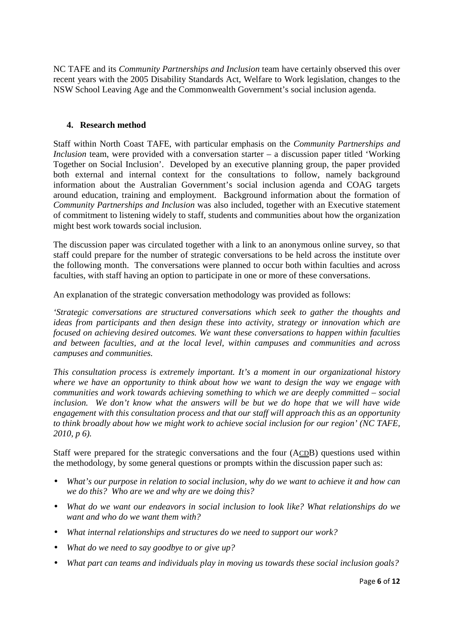NC TAFE and its *Community Partnerships and Inclusion* team have certainly observed this over recent years with the 2005 Disability Standards Act, Welfare to Work legislation, changes to the NSW School Leaving Age and the Commonwealth Government's social inclusion agenda.

#### **4. Research method**

Staff within North Coast TAFE, with particular emphasis on the *Community Partnerships and Inclusion* team, were provided with a conversation starter – a discussion paper titled 'Working Together on Social Inclusion'. Developed by an executive planning group, the paper provided both external and internal context for the consultations to follow, namely background information about the Australian Government's social inclusion agenda and COAG targets around education, training and employment. Background information about the formation of *Community Partnerships and Inclusion* was also included, together with an Executive statement of commitment to listening widely to staff, students and communities about how the organization might best work towards social inclusion.

The discussion paper was circulated together with a link to an anonymous online survey, so that staff could prepare for the number of strategic conversations to be held across the institute over the following month. The conversations were planned to occur both within faculties and across faculties, with staff having an option to participate in one or more of these conversations.

An explanation of the strategic conversation methodology was provided as follows:

*'Strategic conversations are structured conversations which seek to gather the thoughts and ideas from participants and then design these into activity, strategy or innovation which are focused on achieving desired outcomes. We want these conversations to happen within faculties and between faculties, and at the local level, within campuses and communities and across campuses and communities.* 

*This consultation process is extremely important. It's a moment in our organizational history where we have an opportunity to think about how we want to design the way we engage with communities and work towards achieving something to which we are deeply committed – social inclusion. We don't know what the answers will be but we do hope that we will have wide engagement with this consultation process and that our staff will approach this as an opportunity to think broadly about how we might work to achieve social inclusion for our region' (NC TAFE, 2010, p 6).*

Staff were prepared for the strategic conversations and the four (ACDB) questions used within the methodology, by some general questions or prompts within the discussion paper such as:

- *What's our purpose in relation to social inclusion, why do we want to achieve it and how can we do this? Who are we and why are we doing this?*
- *What do we want our endeavors in social inclusion to look like? What relationships do we want and who do we want them with?*
- *What internal relationships and structures do we need to support our work?*
- *What do we need to say goodbye to or give up?*
- *What part can teams and individuals play in moving us towards these social inclusion goals?*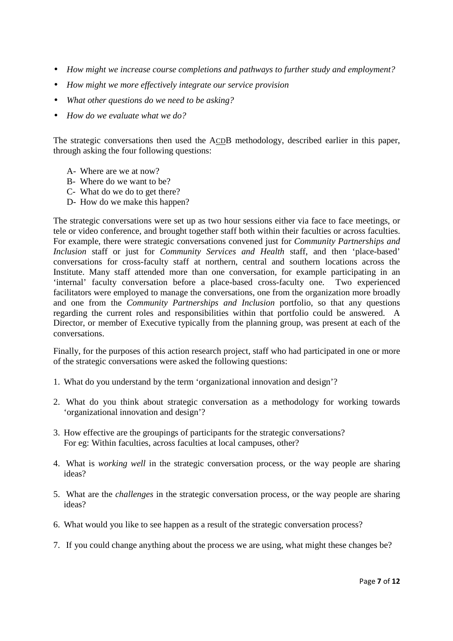- *How might we increase course completions and pathways to further study and employment?*
- *How might we more effectively integrate our service provision*
- *What other questions do we need to be asking?*
- *How do we evaluate what we do?*

The strategic conversations then used the ACDB methodology, described earlier in this paper, through asking the four following questions:

- A- Where are we at now?
- B- Where do we want to be?
- C- What do we do to get there?
- D- How do we make this happen?

The strategic conversations were set up as two hour sessions either via face to face meetings, or tele or video conference, and brought together staff both within their faculties or across faculties. For example, there were strategic conversations convened just for *Community Partnerships and Inclusion* staff or just for *Community Services and Health* staff, and then 'place-based' conversations for cross-faculty staff at northern, central and southern locations across the Institute. Many staff attended more than one conversation, for example participating in an 'internal' faculty conversation before a place-based cross-faculty one. Two experienced facilitators were employed to manage the conversations, one from the organization more broadly and one from the *Community Partnerships and Inclusion* portfolio, so that any questions regarding the current roles and responsibilities within that portfolio could be answered. A Director, or member of Executive typically from the planning group, was present at each of the conversations.

Finally, for the purposes of this action research project, staff who had participated in one or more of the strategic conversations were asked the following questions:

- 1. What do you understand by the term 'organizational innovation and design'?
- 2. What do you think about strategic conversation as a methodology for working towards 'organizational innovation and design'?
- 3. How effective are the groupings of participants for the strategic conversations? For eg: Within faculties, across faculties at local campuses, other?
- 4. What is *working well* in the strategic conversation process, or the way people are sharing ideas?
- 5. What are the *challenges* in the strategic conversation process, or the way people are sharing ideas?
- 6. What would you like to see happen as a result of the strategic conversation process?
- 7. If you could change anything about the process we are using, what might these changes be?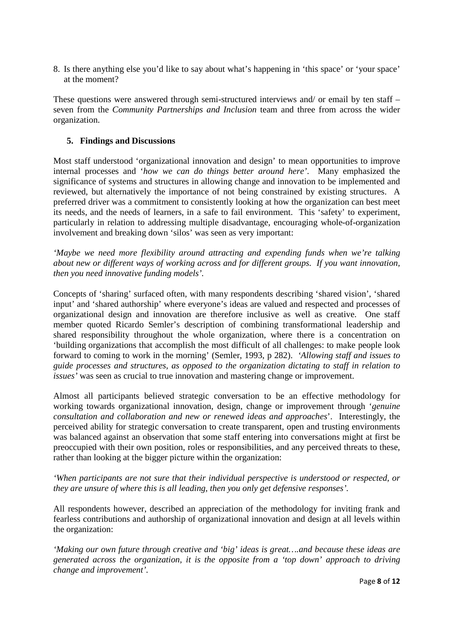8. Is there anything else you'd like to say about what's happening in 'this space' or 'your space' at the moment?

These questions were answered through semi-structured interviews and/ or email by ten staff – seven from the *Community Partnerships and Inclusion* team and three from across the wider organization.

### **5. Findings and Discussions**

Most staff understood 'organizational innovation and design' to mean opportunities to improve internal processes and '*how we can do things better around here'*. Many emphasized the significance of systems and structures in allowing change and innovation to be implemented and reviewed, but alternatively the importance of not being constrained by existing structures. A preferred driver was a commitment to consistently looking at how the organization can best meet its needs, and the needs of learners, in a safe to fail environment. This 'safety' to experiment, particularly in relation to addressing multiple disadvantage, encouraging whole-of-organization involvement and breaking down 'silos' was seen as very important:

*'Maybe we need more flexibility around attracting and expending funds when we're talking about new or different ways of working across and for different groups. If you want innovation, then you need innovative funding models'.* 

Concepts of 'sharing' surfaced often, with many respondents describing 'shared vision', 'shared input' and 'shared authorship' where everyone's ideas are valued and respected and processes of organizational design and innovation are therefore inclusive as well as creative. One staff member quoted Ricardo Semler's description of combining transformational leadership and shared responsibility throughout the whole organization, where there is a concentration on 'building organizations that accomplish the most difficult of all challenges: to make people look forward to coming to work in the morning' (Semler, 1993, p 282). *'Allowing staff and issues to guide processes and structures, as opposed to the organization dictating to staff in relation to issues'* was seen as crucial to true innovation and mastering change or improvement.

Almost all participants believed strategic conversation to be an effective methodology for working towards organizational innovation, design, change or improvement through '*genuine consultation and collaboration and new or renewed ideas and approaches*'. Interestingly, the perceived ability for strategic conversation to create transparent, open and trusting environments was balanced against an observation that some staff entering into conversations might at first be preoccupied with their own position, roles or responsibilities, and any perceived threats to these, rather than looking at the bigger picture within the organization:

*'When participants are not sure that their individual perspective is understood or respected, or they are unsure of where this is all leading, then you only get defensive responses'.* 

All respondents however, described an appreciation of the methodology for inviting frank and fearless contributions and authorship of organizational innovation and design at all levels within the organization:

*'Making our own future through creative and 'big' ideas is great….and because these ideas are generated across the organization, it is the opposite from a 'top down' approach to driving change and improvement'.*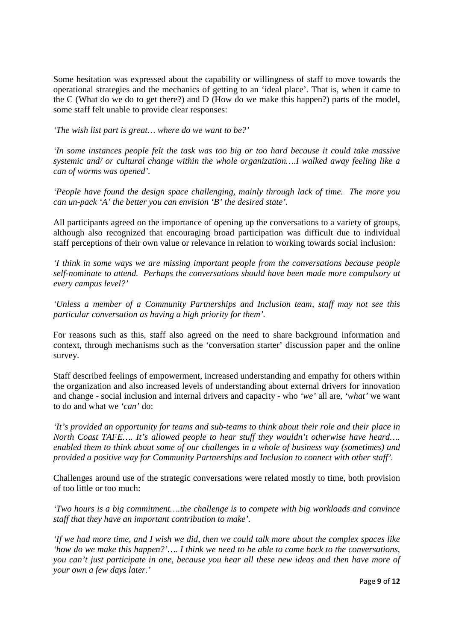Some hesitation was expressed about the capability or willingness of staff to move towards the operational strategies and the mechanics of getting to an 'ideal place'. That is, when it came to the C (What do we do to get there?) and D (How do we make this happen?) parts of the model, some staff felt unable to provide clear responses:

*'The wish list part is great… where do we want to be?'* 

*'In some instances people felt the task was too big or too hard because it could take massive systemic and/ or cultural change within the whole organization….I walked away feeling like a can of worms was opened'.* 

*'People have found the design space challenging, mainly through lack of time. The more you can un-pack 'A' the better you can envision 'B' the desired state'.* 

All participants agreed on the importance of opening up the conversations to a variety of groups, although also recognized that encouraging broad participation was difficult due to individual staff perceptions of their own value or relevance in relation to working towards social inclusion:

*'I think in some ways we are missing important people from the conversations because people self-nominate to attend. Perhaps the conversations should have been made more compulsory at every campus level?'* 

*'Unless a member of a Community Partnerships and Inclusion team, staff may not see this particular conversation as having a high priority for them'.* 

For reasons such as this, staff also agreed on the need to share background information and context, through mechanisms such as the 'conversation starter' discussion paper and the online survey.

Staff described feelings of empowerment, increased understanding and empathy for others within the organization and also increased levels of understanding about external drivers for innovation and change - social inclusion and internal drivers and capacity - who *'we'* all are, *'what'* we want to do and what we *'can'* do:

*'It's provided an opportunity for teams and sub-teams to think about their role and their place in North Coast TAFE…. It's allowed people to hear stuff they wouldn't otherwise have heard…. enabled them to think about some of our challenges in a whole of business way (sometimes) and provided a positive way for Community Partnerships and Inclusion to connect with other staff'.* 

Challenges around use of the strategic conversations were related mostly to time, both provision of too little or too much:

*'Two hours is a big commitment….the challenge is to compete with big workloads and convince staff that they have an important contribution to make'.* 

*'If we had more time, and I wish we did, then we could talk more about the complex spaces like 'how do we make this happen?'…. I think we need to be able to come back to the conversations, you can't just participate in one, because you hear all these new ideas and then have more of your own a few days later.'*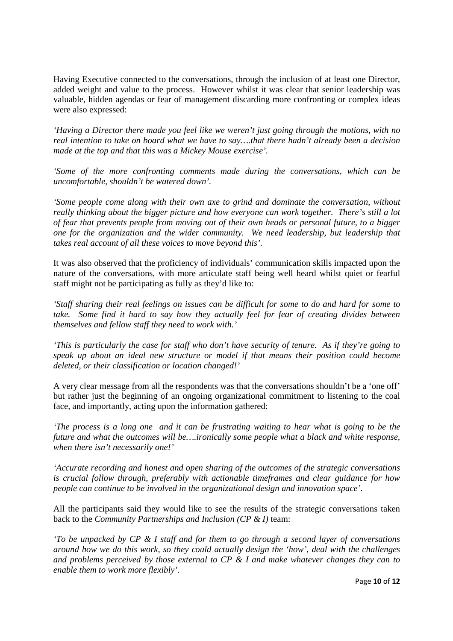Having Executive connected to the conversations, through the inclusion of at least one Director, added weight and value to the process. However whilst it was clear that senior leadership was valuable, hidden agendas or fear of management discarding more confronting or complex ideas were also expressed:

*'Having a Director there made you feel like we weren't just going through the motions, with no real intention to take on board what we have to say….that there hadn't already been a decision made at the top and that this was a Mickey Mouse exercise'.* 

*'Some of the more confronting comments made during the conversations, which can be uncomfortable, shouldn't be watered down'.* 

*'Some people come along with their own axe to grind and dominate the conversation, without really thinking about the bigger picture and how everyone can work together. There's still a lot of fear that prevents people from moving out of their own heads or personal future, to a bigger one for the organization and the wider community. We need leadership, but leadership that takes real account of all these voices to move beyond this'.* 

It was also observed that the proficiency of individuals' communication skills impacted upon the nature of the conversations, with more articulate staff being well heard whilst quiet or fearful staff might not be participating as fully as they'd like to:

*'Staff sharing their real feelings on issues can be difficult for some to do and hard for some to take. Some find it hard to say how they actually feel for fear of creating divides between themselves and fellow staff they need to work with.'* 

*'This is particularly the case for staff who don't have security of tenure. As if they're going to speak up about an ideal new structure or model if that means their position could become deleted, or their classification or location changed!'* 

A very clear message from all the respondents was that the conversations shouldn't be a 'one off' but rather just the beginning of an ongoing organizational commitment to listening to the coal face, and importantly, acting upon the information gathered:

*'The process is a long one and it can be frustrating waiting to hear what is going to be the future and what the outcomes will be….ironically some people what a black and white response, when there isn't necessarily one!'* 

*'Accurate recording and honest and open sharing of the outcomes of the strategic conversations is crucial follow through, preferably with actionable timeframes and clear guidance for how people can continue to be involved in the organizational design and innovation space'.* 

All the participants said they would like to see the results of the strategic conversations taken back to the *Community Partnerships and Inclusion (CP & I)* team:

*'To be unpacked by CP & I staff and for them to go through a second layer of conversations around how we do this work, so they could actually design the 'how', deal with the challenges and problems perceived by those external to CP & I and make whatever changes they can to enable them to work more flexibly'.*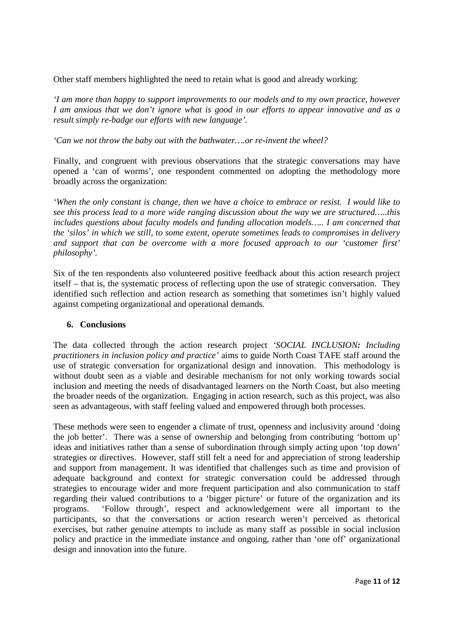Other staff members highlighted the need to retain what is good and already working:

*'I am more than happy to support improvements to our models and to my own practice, however I am anxious that we don't ignore what is good in our efforts to appear innovative and as a result simply re-badge our efforts with new language'.* 

*'Can we not throw the baby out with the bathwater….or re-invent the wheel?* 

Finally, and congruent with previous observations that the strategic conversations may have opened a 'can of worms', one respondent commented on adopting the methodology more broadly across the organization:

*'When the only constant is change, then we have a choice to embrace or resist. I would like to see this process lead to a more wide ranging discussion about the way we are structured…..this includes questions about faculty models and funding allocation models….. I am concerned that the 'silos' in which we still, to some extent, operate sometimes leads to compromises in delivery and support that can be overcome with a more focused approach to our 'customer first' philosophy'.* 

Six of the ten respondents also volunteered positive feedback about this action research project itself – that is, the systematic process of reflecting upon the use of strategic conversation. They identified such reflection and action research as something that sometimes isn't highly valued against competing organizational and operational demands.

### **6. Conclusions**

The data collected through the action research project *'SOCIAL INCLUSION: Including practitioners in inclusion policy and practice'* aims to guide North Coast TAFE staff around the use of strategic conversation for organizational design and innovation. This methodology is without doubt seen as a viable and desirable mechanism for not only working towards social inclusion and meeting the needs of disadvantaged learners on the North Coast, but also meeting the broader needs of the organization. Engaging in action research, such as this project, was also seen as advantageous, with staff feeling valued and empowered through both processes.

These methods were seen to engender a climate of trust, openness and inclusivity around 'doing the job better'. There was a sense of ownership and belonging from contributing 'bottom up' ideas and initiatives rather than a sense of subordination through simply acting upon 'top down' strategies or directives. However, staff still felt a need for and appreciation of strong leadership and support from management. It was identified that challenges such as time and provision of adequate background and context for strategic conversation could be addressed through strategies to encourage wider and more frequent participation and also communication to staff regarding their valued contributions to a 'bigger picture' or future of the organization and its programs. 'Follow through', respect and acknowledgement were all important to the participants, so that the conversations or action research weren't perceived as rhetorical exercises, but rather genuine attempts to include as many staff as possible in social inclusion policy and practice in the immediate instance and ongoing, rather than 'one off' organizational design and innovation into the future.